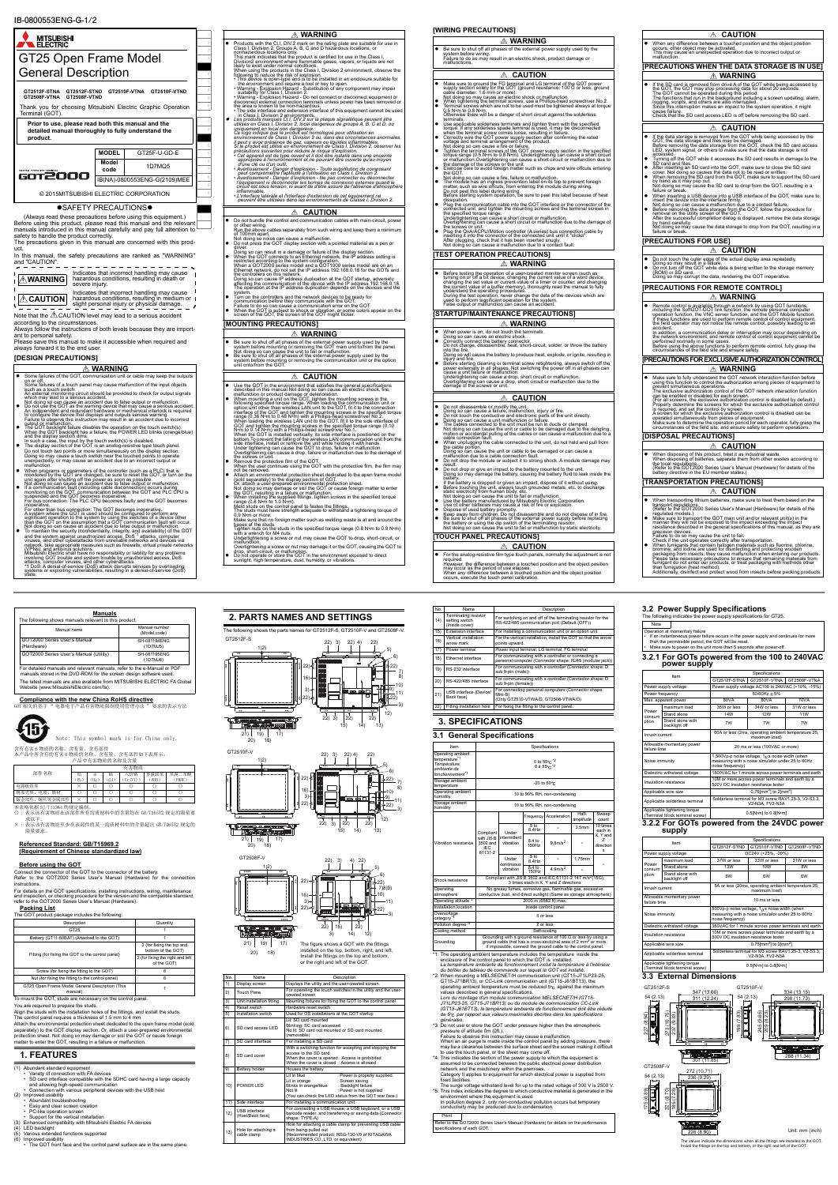

## **[WIRING PRECAUTIONS]**

- 
- 
- **ECAUTIONS]**  When disposing of this product, treat it as industrial waste. When disposing of batteries, separate them from other wastes according to (Refer to the GOT2000 Series User's Manual (Hardware) for details of the battery directive in the EU member states.) **CAUTION CAUTION**

## ries, make sure to treat them based on the (Ref) Iser's Manual (Hardware) for details of the regulated models.)<br>● Make sure to transport the GOT main unit and/or relevant unit(s) in the<br>manner they will not be exposed to the impact exceeding the impact

- 
- 
- 

# ■<br>螺丝等金属部件 × ○ ○ ○

**Compliance with the new China RoHS directive** -<br>要求的表示方法



本表格依据 SJ/T11364 的规定编制。<br>〇 :表示该有害物质在该部件所有均质材料中的含量均在 GB/T26572 规定的限量要 求以下。

- 
- 
- (1) Abundant standard equipment Variety of connection with FA devices SD card interface compatible with the SDHC card having a large capacity
- and allowing high-speed communication<br>• Connection with various peripheral devices with the USB host<br>(2) Improved usability<br>• Abundant troubleshooting<br>• Easy and clear screen creation
- -
	-
	-
	-
- 
- 
- 
- 
- PC-like operation screen<br>
 Support for the vertical installation<br>
(3) Enhanced compatibility with Mitsubishi Electric FA devices<br>
(5) Various extended functions supported<br>
(6) Improved usability<br>
(6) Improved usability<br>

15 Note: This symbol mark is for China only.

> \*1: The operating ambient temperature includes the temperature inside the enclosure of the control panel to which the GOT is installed. La température ambiante de fonctionnement inclut la température à l'intérieur<br>du boîtier du tableau de commande sur lequel le GOT est installé.<br>^2: When mounting a MELSECNET/H communication unit (GT15-J71LP23-25

Grounding ground cable that has a cross-sectional area of 2 mm<sup>2</sup> or more. ground cable that has a cross-sectional area or z<br>If impossible, connect the ground cable to the c

| וכוועוו טאסבוראני וואווא                                                                                                                                                                                                                                                                                                                                                                                                                                                                                                                                                                                                                                                                                                                                                                                                                                                                                                                                                                                                                                                                                                                                                                                                                                                                                                                                                                                                                                                                                                                                       | <b>CAUTION</b>                                                                                                                                                                                                                                                                                                                                                                                                                                                                                                                                                                                                                                                                                                                                                                                                                                                                                                                                                                                                                                                                                                                                                                                                                                                                                                                                                                                                                                                                                                                                                                                                      |
|----------------------------------------------------------------------------------------------------------------------------------------------------------------------------------------------------------------------------------------------------------------------------------------------------------------------------------------------------------------------------------------------------------------------------------------------------------------------------------------------------------------------------------------------------------------------------------------------------------------------------------------------------------------------------------------------------------------------------------------------------------------------------------------------------------------------------------------------------------------------------------------------------------------------------------------------------------------------------------------------------------------------------------------------------------------------------------------------------------------------------------------------------------------------------------------------------------------------------------------------------------------------------------------------------------------------------------------------------------------------------------------------------------------------------------------------------------------------------------------------------------------------------------------------------------------|---------------------------------------------------------------------------------------------------------------------------------------------------------------------------------------------------------------------------------------------------------------------------------------------------------------------------------------------------------------------------------------------------------------------------------------------------------------------------------------------------------------------------------------------------------------------------------------------------------------------------------------------------------------------------------------------------------------------------------------------------------------------------------------------------------------------------------------------------------------------------------------------------------------------------------------------------------------------------------------------------------------------------------------------------------------------------------------------------------------------------------------------------------------------------------------------------------------------------------------------------------------------------------------------------------------------------------------------------------------------------------------------------------------------------------------------------------------------------------------------------------------------------------------------------------------------------------------------------------------------|
| <b>△ WARNING</b>                                                                                                                                                                                                                                                                                                                                                                                                                                                                                                                                                                                                                                                                                                                                                                                                                                                                                                                                                                                                                                                                                                                                                                                                                                                                                                                                                                                                                                                                                                                                               | When any difference between a touched position and the object position<br>occurs, other object may be activated.                                                                                                                                                                                                                                                                                                                                                                                                                                                                                                                                                                                                                                                                                                                                                                                                                                                                                                                                                                                                                                                                                                                                                                                                                                                                                                                                                                                                                                                                                                    |
| Be sure to shut off all phases of the external power supply used by the<br>system before wiring.                                                                                                                                                                                                                                                                                                                                                                                                                                                                                                                                                                                                                                                                                                                                                                                                                                                                                                                                                                                                                                                                                                                                                                                                                                                                                                                                                                                                                                                               | This may cause an unexpected operation due to incorrect output or                                                                                                                                                                                                                                                                                                                                                                                                                                                                                                                                                                                                                                                                                                                                                                                                                                                                                                                                                                                                                                                                                                                                                                                                                                                                                                                                                                                                                                                                                                                                                   |
| Failure to do so may result in an electric shock, product damage or<br>malfunctions.                                                                                                                                                                                                                                                                                                                                                                                                                                                                                                                                                                                                                                                                                                                                                                                                                                                                                                                                                                                                                                                                                                                                                                                                                                                                                                                                                                                                                                                                           | malfunction.                                                                                                                                                                                                                                                                                                                                                                                                                                                                                                                                                                                                                                                                                                                                                                                                                                                                                                                                                                                                                                                                                                                                                                                                                                                                                                                                                                                                                                                                                                                                                                                                        |
|                                                                                                                                                                                                                                                                                                                                                                                                                                                                                                                                                                                                                                                                                                                                                                                                                                                                                                                                                                                                                                                                                                                                                                                                                                                                                                                                                                                                                                                                                                                                                                | [PRECAUTIONS WHEN THE DATA STORAGE IS IN USE]                                                                                                                                                                                                                                                                                                                                                                                                                                                                                                                                                                                                                                                                                                                                                                                                                                                                                                                                                                                                                                                                                                                                                                                                                                                                                                                                                                                                                                                                                                                                                                       |
| <b>CAUTION</b>                                                                                                                                                                                                                                                                                                                                                                                                                                                                                                                                                                                                                                                                                                                                                                                                                                                                                                                                                                                                                                                                                                                                                                                                                                                                                                                                                                                                                                                                                                                                                 | <b>WARNING</b>                                                                                                                                                                                                                                                                                                                                                                                                                                                                                                                                                                                                                                                                                                                                                                                                                                                                                                                                                                                                                                                                                                                                                                                                                                                                                                                                                                                                                                                                                                                                                                                                      |
| Make sure to ground the FG terminal and LG terminal of the GOT power<br>supply section solely for the GOT (ground resistance: 100 Ω or less, ground<br>cable´diameter: 1.6 mm or more)<br>cauch diameter. on min or inverge.<br>When tightening the terminal screws, use a Phillips-head screwdriver No.2.<br>When tightening the terminal screws, use a Phillips-head screwdriver No.2.<br>Terminal screws which are not t<br>Otherwise there will be a danger of short circuit against the solderless                                                                                                                                                                                                                                                                                                                                                                                                                                                                                                                                                                                                                                                                                                                                                                                                                                                                                                                                                                                                                                                        | If the SD card is removed from drive A of the GOT while being accessed by<br>the GOT, the GOT may stop processing data for about 20 seconds.<br>The GOT cannot be operated during this period.<br>The functions that run in the backgro<br>cause failure.<br>Check that the SD card access LED is off before removing the SD card.                                                                                                                                                                                                                                                                                                                                                                                                                                                                                                                                                                                                                                                                                                                                                                                                                                                                                                                                                                                                                                                                                                                                                                                                                                                                                  |
| terminals.                                                                                                                                                                                                                                                                                                                                                                                                                                                                                                                                                                                                                                                                                                                                                                                                                                                                                                                                                                                                                                                                                                                                                                                                                                                                                                                                                                                                                                                                                                                                                     |                                                                                                                                                                                                                                                                                                                                                                                                                                                                                                                                                                                                                                                                                                                                                                                                                                                                                                                                                                                                                                                                                                                                                                                                                                                                                                                                                                                                                                                                                                                                                                                                                     |
| terminals.<br>terminals and tighten them with the specified<br>type applicable solderless spacie terminal is used, it may be disconnected<br>torque. If any solderless spacie terminal is used, it may be disconnected<br>when the ter<br>the GOT.<br>the GOT.<br>Not doing so can cause a fire, failure or malfunction.<br>The module has an ingress prevention label on its top to prevent foreign<br>matter, such as wire offcuts, from entering the module during wiring.<br>Do not peel<br>dissipation.<br>Plug the communication cable into the GOT interface or the connector of the<br>connected unit, and tighten the mounting screws and the terminal screws in<br>the specified torque range.<br>the specified toriginarige:<br>Underlightening can cause a short circuit or malfunction.<br>Underlightening can cause a short circuit or malfunction due to the damage of<br>Overtightening can cause a short circuit or malfunction<br>[TEST OPERATION PRECAUTIONS]<br>△ WARNING<br>Before testing the operation of a user-created monitor screen (such as<br>turning on or off a bit device, changing the current value of a word device,<br>changing the set value or current value of a timer or counter, and changin<br>the current value of a buffer memory), thoroughly read the manual to fully<br>are content wave of a bunet internetivity, unocoging read the manual to rung<br>anderstand the operating procedures.<br>During the test operation, never change the data of the devices which are<br>used to perform significant operat | <b>CAUTION</b><br>⚠<br>If the data storage is removed from the GOT while being accessed by the<br>GOT, the data storage and files may be damaged.<br>Before removing the data storage from the GOT, check the SD card access<br>LED, system signal, or others to make sure that the data storage is not<br>accessed.<br>accesseu.<br>Turning off the GOT while it accesses the SD card results in damage to the<br>SD card and files.<br>SD card afformations and into the GOT, make sure to close the SD card<br>After inserting an SD card into the GOT, make sure to close the SD card<br>When removing the SD card from the GOT, make sure to support the SD card<br>When re<br>failure or break.<br>When inserting a USB device into a USB interface of the GOT, make sure to<br>When the device into the interface firmly.<br>Not doing so can cause a mailtunction due to a contact failure.<br>Not doing so can cause a mailtunction due to a contact failure.<br>Before removing the data storage from the GOT, f<br>After the successful completion dialog is displayed, remove the data storage<br>by hand carefully.<br>by name cannot and the data storage to drop from the GOT, resulting in a<br>failure or break.<br><b>[PRECAUTIONS FOR USE]</b><br><b>CAUTION</b><br>⚠<br>Do not touch the outer edge of the actual display area repeatedly.<br>Doing so may result in a failure<br>Do not turn off the GOT while data is being written to the storage memory (ROM) or SD card.<br>Doing'so may corrupt the data, rendering the GOT inoperative.<br>[PRECAUTIONS FOR REMOTE CONTROL]<br>∆ WARNING |
|                                                                                                                                                                                                                                                                                                                                                                                                                                                                                                                                                                                                                                                                                                                                                                                                                                                                                                                                                                                                                                                                                                                                                                                                                                                                                                                                                                                                                                                                                                                                                                | Remote control is available through a network by using GOT functions,<br>including the SoftCOT-GOT link function, the remote personal computer<br>operation function, the VNC server function, and the GOT Mobile function.<br>If these                                                                                                                                                                                                                                                                                                                                                                                                                                                                                                                                                                                                                                                                                                                                                                                                                                                                                                                                                                                                                                                                                                                                                                                                                                                                                                                                                                             |
| [STARTUP/MAINTENANCE PRECAUTIONS]                                                                                                                                                                                                                                                                                                                                                                                                                                                                                                                                                                                                                                                                                                                                                                                                                                                                                                                                                                                                                                                                                                                                                                                                                                                                                                                                                                                                                                                                                                                              |                                                                                                                                                                                                                                                                                                                                                                                                                                                                                                                                                                                                                                                                                                                                                                                                                                                                                                                                                                                                                                                                                                                                                                                                                                                                                                                                                                                                                                                                                                                                                                                                                     |
| ∆ WARNING<br>When power is on, do not touch the terminals.<br>Doing so can cause an electric shock.<br>Correctly connect the battery connector.<br>Do not charge, disassemble, heat, short-circuit, solder, or throw the battery<br>into the fire.<br>Doing so will cause the battery to produce heat, explode, or ignite, resulting in<br>injury and fire.<br>Before starting cleaning or terminal screw retightening, always switch off the power externally in all phases. Not switching the power off in all phases can cause a unit failure or malfunction.<br>Undertightening can cause a drop, short circuit or malfunction.<br>Overtightening can cause a drop, short circuit or malfunction due to the<br>damage of the screws or unit.                                                                                                                                                                                                                                                                                                                                                                                                                                                                                                                                                                                                                                                                                                                                                                                                               | accident<br>in addition, a communication delay or interruption may occur depending on<br>the network environment, and remote control of control equipment cannot be<br>performed normally in some cases.<br>Before using the above functions to perform remote control, fully grasp the circumstances of the field site and ensure safety.<br><b>IPRECAUTIONS FOR EXCLUSIVE AUTHORIZATION CONTROL</b><br><b>WARNING</b><br>Make sure to fully understand the GOT network interaction function before<br>using this function to control the authorization among pieces of equipment to<br>prevent simultaneous operations.                                                                                                                                                                                                                                                                                                                                                                                                                                                                                                                                                                                                                                                                                                                                                                                                                                                                                                                                                                                           |
| $\mathbb A$ caution                                                                                                                                                                                                                                                                                                                                                                                                                                                                                                                                                                                                                                                                                                                                                                                                                                                                                                                                                                                                                                                                                                                                                                                                                                                                                                                                                                                                                                                                                                                                            | Fine exclusive authorization control of the GOT network interaction function<br>can be enabled or disabled for each screen.<br>(For all screens, the exclusive authorization control is disabled by default.)<br>Properly determine the                                                                                                                                                                                                                                                                                                                                                                                                                                                                                                                                                                                                                                                                                                                                                                                                                                                                                                                                                                                                                                                                                                                                                                                                                                                                                                                                                                             |
| Do not disassemble or modify the unit.<br>Doing so can cause a failure, malfunction, injury or fire.<br>Do not touch the conductive and electronic parts of the unit directly.<br>Doing so can cause a unit malfunction or failure.<br>The cables connected to the unit must be run in ducts or clamped.                                                                                                                                                                                                                                                                                                                                                                                                                                                                                                                                                                                                                                                                                                                                                                                                                                                                                                                                                                                                                                                                                                                                                                                                                                                       | is required, and set the control by screen.<br>A screen for which the exclusive authorization control is disabled can be<br>A screen for which the exclusive authorization control is disabled can be<br>operated simultaneously fro<br>circumstances of the field site, and ensure safety to perform operations                                                                                                                                                                                                                                                                                                                                                                                                                                                                                                                                                                                                                                                                                                                                                                                                                                                                                                                                                                                                                                                                                                                                                                                                                                                                                                    |
| Not doing so can cause the unit or cable to be damaged due to the dangling,<br>motion or accidental pulling of the cables or can cause a malfunction due to a<br>cable connection fault.                                                                                                                                                                                                                                                                                                                                                                                                                                                                                                                                                                                                                                                                                                                                                                                                                                                                                                                                                                                                                                                                                                                                                                                                                                                                                                                                                                       | <b>IDISPOSAL PRECAUTIONS</b>                                                                                                                                                                                                                                                                                                                                                                                                                                                                                                                                                                                                                                                                                                                                                                                                                                                                                                                                                                                                                                                                                                                                                                                                                                                                                                                                                                                                                                                                                                                                                                                        |
| When unplugging the cable connected to the unit, do not hold and pull from<br>the cable portion.<br>Doing so can cause the unit or cable to be damaged or can cause a<br>malfunction due to a cable connection fault.<br>Do not drop the module or subject it to strong shock. A module damage may<br>result.<br>bo not drop or give an impact to the battery mounted to the unit.<br>Doing so may damage the battery, causing the battery fluid to leak inside the                                                                                                                                                                                                                                                                                                                                                                                                                                                                                                                                                                                                                                                                                                                                                                                                                                                                                                                                                                                                                                                                                            | $\mathbb A$ caution<br>When disposing of this product, treat it as industrial waste.<br>When disposing of batteries, separate them from other wastes according to<br>the local regulations.<br>the GOT2000 Series User's Manual (Hardware) for details of the<br>battery directive in the EU member states.)                                                                                                                                                                                                                                                                                                                                                                                                                                                                                                                                                                                                                                                                                                                                                                                                                                                                                                                                                                                                                                                                                                                                                                                                                                                                                                        |
| battery                                                                                                                                                                                                                                                                                                                                                                                                                                                                                                                                                                                                                                                                                                                                                                                                                                                                                                                                                                                                                                                                                                                                                                                                                                                                                                                                                                                                                                                                                                                                                        |                                                                                                                                                                                                                                                                                                                                                                                                                                                                                                                                                                                                                                                                                                                                                                                                                                                                                                                                                                                                                                                                                                                                                                                                                                                                                                                                                                                                                                                                                                                                                                                                                     |
| bitue.)<br>If the battery is dropped or given an impact, dispose of it without using.<br>Before touching the unit, always touch grounded metals, etc. to discharge<br>static electricity from human body, etc.<br>Not doing so can cau                                                                                                                                                                                                                                                                                                                                                                                                                                                                                                                                                                                                                                                                                                                                                                                                                                                                                                                                                                                                                                                                                                                                                                                                                                                                                                                         | <b>[TRANSPORTATION PRECAUTIONS]</b>                                                                                                                                                                                                                                                                                                                                                                                                                                                                                                                                                                                                                                                                                                                                                                                                                                                                                                                                                                                                                                                                                                                                                                                                                                                                                                                                                                                                                                                                                                                                                                                 |
|                                                                                                                                                                                                                                                                                                                                                                                                                                                                                                                                                                                                                                                                                                                                                                                                                                                                                                                                                                                                                                                                                                                                                                                                                                                                                                                                                                                                                                                                                                                                                                | $\triangle$ Caution<br>When transporting lithium batteries, make sure to treat them based on the                                                                                                                                                                                                                                                                                                                                                                                                                                                                                                                                                                                                                                                                                                                                                                                                                                                                                                                                                                                                                                                                                                                                                                                                                                                                                                                                                                                                                                                                                                                    |
| Use the battery manufactured by Mitsubishi Electric Corporation.<br>Use of other batteries may cause a risk of fire or explosion.<br>Dispose of used battery promptly.<br>Keep away from children. Do not disassemble and do not dispose of in fire.                                                                                                                                                                                                                                                                                                                                                                                                                                                                                                                                                                                                                                                                                                                                                                                                                                                                                                                                                                                                                                                                                                                                                                                                                                                                                                           | transport regulations.<br>(Refer to the GOT2000 Series User's Manual (Hardware) for details of the<br>regulated models.)                                                                                                                                                                                                                                                                                                                                                                                                                                                                                                                                                                                                                                                                                                                                                                                                                                                                                                                                                                                                                                                                                                                                                                                                                                                                                                                                                                                                                                                                                            |

Keep away from childreri. Do not disassemble and do not dispose of in fire<br>● Be sure to shut off all phases of the external power supply before replacing<br>the battery or using the dip switch of the terminating resistor.<br>No

● For the analog-resistive film type touch panels, normally the adjustment is not<br>However, the difference between a touched position and the object position<br>may occur as the period of use elapses.<br>When any difference betw

含有有害 6 物质的名称、含有量、含有部件 本产品中所含有的有害 6 物质的名称、含有量、含有部件如下表所示。

× : 表示该有害物质至少在该部件的某一均质材料中的含量超出 GB/T26572 规定的

限量要求。

# **Referenced Standard: GB/T15969.2**

## **(Requirement of Chinese standardized law)**



Connect the connector of the GOT to the connector of the battery. Refer to the GOT2000 Series User's Manual (Hardware) for the connection instructions.

For details on the GOT specifications, installing instructions, wiring, maintenance and inspection, or checking procedure for the version and the compatible standard,

r to the GOT2000 Series User's Manual (Hardware)

## **Packing List**<br>The GOT product p

 $\overline{\text{ct}}$  package includes the following

| <b>Manuals</b><br>The following shows manuals relevant to this product.                                                                       |                               |  |  |  |  |
|-----------------------------------------------------------------------------------------------------------------------------------------------|-------------------------------|--|--|--|--|
| Manual name                                                                                                                                   | Manual number<br>(Model code) |  |  |  |  |
| GOT2000 Series User's Manual<br>(Hardware)                                                                                                    | SH-081194FNG<br>(1D7MJ5)      |  |  |  |  |
| GOT2000 Series User's Manual (Utility)                                                                                                        | SH-081195ENG<br>(1D7MJ6)      |  |  |  |  |
| For detailed manuals and relevant manuals, refer to the e-Manual or PDF<br>manuals stored in the DVD-ROM for the screen design software used. |                               |  |  |  |  |
| The latest manuals are also available from MITSUBISHI ELECTRIC FA Global<br>Website (www.MitsubishiElectric.com/fa).                          |                               |  |  |  |  |

| 产品中有害物质的名称及含量      |                |     |    |          |       |        |
|--------------------|----------------|-----|----|----------|-------|--------|
|                    | 有害物质           |     |    |          |       |        |
| 部件名称               | 铅              | 汞   | 镉  | 六价铬      | 多溴联苯  | 多溴二苯醚  |
|                    | P <sub>b</sub> | Hg. | Cd | (Cr(VI)) | (PRR) | (PBDE) |
| 电路板组件              |                |     |    |          |       |        |
| 树脂壳体、<br>电缆、<br>膜材 |                |     |    |          |       |        |

## **1. FEATURES**

| Description                                                | Quantity                                        |
|------------------------------------------------------------|-------------------------------------------------|
| GT <sub>25</sub>                                           |                                                 |
| Battery (GT11-50BAT) (Attached to the GOT)                 |                                                 |
| Fitting (for fixing the GOT to the control panel)          | 2 (for fixing the top and<br>bottom of the GOT) |
|                                                            | 2 (for fixing the right and left<br>of the GOT) |
| Screw (for fixing the fitting to the GOT)                  |                                                 |
| Nut (for fixing the fitting to the control panel)          |                                                 |
| GT25 Open Frame Model General Description (This<br>manual) |                                                 |

To mount the GOT, studs are necessary on the You are required to prepare the studs.<br>Align the studs with the installation holes of the fittings, and install the studs.<br>The control panel requires a thickness of 1.5 mm to 4 mm.<br>Attach the environmental protection sheet separately) to the GOT display section. Or, attach a user-prepared environmental<br>protection sheet. Not doing so may damage or soil the GOT or cause foreign<br>matter to enter the GOT, resulting in a failure or malfunction.

| No.<br>Description<br><b>Name</b> |                                          |                                                                                                                                                                                                                                   |  |  |
|-----------------------------------|------------------------------------------|-----------------------------------------------------------------------------------------------------------------------------------------------------------------------------------------------------------------------------------|--|--|
| 1)                                | Display screen                           | Displays the utility and the user-created screen.                                                                                                                                                                                 |  |  |
| 2)                                | Touch Pane                               | For operating the touch switches in the utility and the user-<br>created screen                                                                                                                                                   |  |  |
| 3)                                | Unit installation fitting                | Mounting fixtures for fixing the GOT to the control panel                                                                                                                                                                         |  |  |
| 4)                                | Reset switch                             | Hardware reset switch                                                                                                                                                                                                             |  |  |
| 5)                                | Installation switch                      | Used for OS installations at the GOT startup                                                                                                                                                                                      |  |  |
| 6)                                | SD card access I FD                      | Lit: SD card mounted<br>Blinking: SC card accessed<br>No lit: SD card not mounted or SD card mounted<br>(removable)                                                                                                               |  |  |
| 7)                                | SD card interface                        | For installing a SD card                                                                                                                                                                                                          |  |  |
| 8)                                | SD card cover                            | With a switching function for accepting and stopping the<br>access to the SD card<br>When the cover is opened : Access is prohibited<br>When the cover is closed : Access is allowed                                              |  |  |
| 9)                                | <b>Battery holder</b>                    | Houses the battery                                                                                                                                                                                                                |  |  |
| 10)                               | POWER I FD                               | I it in blue<br>: Power is properly supplied.<br>: Screen saving<br>Lit in orange<br>Blinks in orange/blue<br>: Backlight failure<br>Not lit<br>: Power is not supplied<br>(You can check the LED status from the GOT rear face.) |  |  |
| 11)                               | Side interface                           | For installing a communication unit                                                                                                                                                                                               |  |  |
| 12)                               | <b>USB</b> interface<br>(Host/Back face) | For connecting a USB mouse, a USB keyboard, or a USB<br>barcode reader, and transferring or saving data (Connector<br>shape: TYPE-A)                                                                                              |  |  |
| 13)                               | Hole for attaching a<br>cable clamp      | Hole for attaching a cable clamp for preventing USB cable<br>from being pulled out<br>(Recommended product: RSG-130-V0 of KITAGAWA<br>INDUSTRIES CO., LTD. or equivalent)                                                         |  |  |

#### **2. PARTS NAMES AND SETTINGS** The following shows the parts names for GT2512F-S, GT2510F-V and GT2508F-V. 6) 7) 8) 22) 22) 10) 3)  $\frac{9}{2}$  11) 20) 21) 19) 18) 17)  $\frac{2}{2}$   $\frac{1}{3}$   $\frac{1}{22}$ 15) 4) 14) 5) 3) 22) 1)2) 16) 3) 22) 22) 22) 22) GT2512F-S 12) 13) 6) 7) 8) 22) 10) 4) 5) 3) 22) 1)2) 16) 22) 22) 22) GT2510F-V

6) 7)8)9)

22)



20) 18)



 $\Box$ 

22)

19) 17) 21) The figure shows a GOT with the fittings installed on the top, bottom, right, and left. Install the fittings on the top and bottom, or the right and left of the GOT.

GT15-J71BR13), or CC-Link communication unit (GT15-J61BT13), the operating ambient temperature must be reduced 5 against the maximum values described in general specifications.

Lors du montage d'un module communication MELSECNET/H (GT15-<br>J71LP23-25, GT15-J71BR13) ou du module de communication CC-Link<br>(GT15-J61BT13), la température ambiante de fonctionnement doit étre réduite<br>de 5º<sub>C</sub> par rapport

*générales.* \*3: Do not use or store the GOT under pressure higher than the atmospheric

pressure of altitude 0m (0ft.).<br>Failure to observe this instruction may cause a malfunction.<br>When an air purge is made inside the control panel by adding pressure, there<br>may be a clearance between the surface sheet and the

assumed to be connected between the public electrical power distribution network and the machinery within the premises. Category II applies to equipment for which electrical power is supplied from fixed facilities.

| 2) 4)<br>22)                      |     | arrow mark                                                                                                   | points upward.                              |
|-----------------------------------|-----|--------------------------------------------------------------------------------------------------------------|---------------------------------------------|
| 5)<br>- 5<br>ᡒ                    | 17) | Power terminal                                                                                               | Power input terr                            |
| 6)<br>ę<br>۵                      | 18) | <b>Ethernet interface</b>                                                                                    | For communicat<br>personal compu            |
| 아 22)<br>7)                       | 19) | RS-232 interface                                                                                             | For communicat<br>sub 9-pin (male)          |
| 8)<br>10)                         | 20) | RS-422/485 interface                                                                                         | For communicat<br>sub 9-pin (femal          |
| 9)<br>a,<br>da<br>11)<br>22)      | 21) | USB interface (Device/<br>Back face)                                                                         | For connecting<br>Mini-B)<br>(Only GT2510-V |
| 3)                                | 22) | Fitting installation hole                                                                                    | For fixing the fitt                         |
| 0.0                               |     |                                                                                                              |                                             |
|                                   |     |                                                                                                              |                                             |
| 12)<br>22)<br>14)<br>13)          |     | <b>3. SPECIFICATIONS</b>                                                                                     |                                             |
|                                   |     |                                                                                                              | 3.1 General Specification                   |
|                                   |     | Item                                                                                                         |                                             |
| 4)<br>22)<br>5)<br>6)<br>$\alpha$ |     | Operating ambient<br>temperature <sup>*1</sup><br>Température<br>ambiante de<br>fonctionnement <sup>*1</sup> |                                             |
| ÷<br>22)<br>8)<br>101             |     | Storage ambient<br>temperature<br>Contractive and the state                                                  |                                             |

The surge voltage withstand level for up to the rated voltage of 300 V is 2500 V. \*5: This index indicates the degree to which conductive material is generated in the

environment where the equipment is used.<br>In pollution degree 2, only non-conductive pollution occurs but temporary<br>conductivity may be produced due to condensation.

14)

Terminating resistor setting switch (Inside cover)

For switching on and off of the terminating resistor for the RS-422/485 communication port (Default (OFF))

#### **3.2 Power Supply Specifications** supply specifications for GT25.

| 3.1 General Specifications                                                                                   |                                                                                                                                                    |                                                                        |                            |                                                                                                                               |                    |                                 |  |
|--------------------------------------------------------------------------------------------------------------|----------------------------------------------------------------------------------------------------------------------------------------------------|------------------------------------------------------------------------|----------------------------|-------------------------------------------------------------------------------------------------------------------------------|--------------------|---------------------------------|--|
| Item                                                                                                         | Specifications                                                                                                                                     |                                                                        |                            |                                                                                                                               |                    |                                 |  |
| Operating ambient<br>temperature <sup>*1</sup><br>Température<br>ambiante de<br>fonctionnement <sup>*1</sup> | 0 to $55^{\circ}$ C $^{\circ}$ 2<br>0 $A$ 55 $^{\circ}$ C $^{\prime}$ <sub>2</sub>                                                                 |                                                                        |                            |                                                                                                                               |                    |                                 |  |
| Storage ambient<br>temperature                                                                               |                                                                                                                                                    |                                                                        |                            | -20 to 60°C                                                                                                                   |                    |                                 |  |
| Operating ambient<br>humidity                                                                                |                                                                                                                                                    |                                                                        |                            | 10 to 90% RH, non-condensing                                                                                                  |                    |                                 |  |
| Storage ambient<br>humidity                                                                                  |                                                                                                                                                    |                                                                        |                            | 10 to 90% RH, non-condensing                                                                                                  |                    |                                 |  |
|                                                                                                              |                                                                                                                                                    |                                                                        | Frequency                  | Acceleration                                                                                                                  | Half-<br>amplitude | Sweep<br>count                  |  |
|                                                                                                              | Compliant<br>with JIS <sub>B</sub><br>3502 and<br>IFC.<br>61131-2                                                                                  | Under<br>intermittent<br>vibration<br>Under<br>continuous<br>vibration | 5 <sub>to</sub><br>8.4Hz   |                                                                                                                               | 3.5 <sub>mm</sub>  | 10 times<br>each in             |  |
| Vibration resistance                                                                                         |                                                                                                                                                    |                                                                        | 8.4 <sub>to</sub><br>150Hz | 9.8 <sub>m/s</sub> <sup>2</sup>                                                                                               |                    | X. Y and<br>7<br>direction<br>s |  |
|                                                                                                              |                                                                                                                                                    |                                                                        | 5 to<br>8.4Hz              |                                                                                                                               | 1.75mm             |                                 |  |
|                                                                                                              |                                                                                                                                                    |                                                                        | 8.4 <sub>to</sub><br>150Hz | 4.9 <sub>m/s</sub> <sup>2</sup>                                                                                               |                    |                                 |  |
| Shock resistance                                                                                             |                                                                                                                                                    |                                                                        |                            | Compliant with JIS B 3502 and IEC 61131-2 147 m/s <sup>2</sup> (15G).<br>3 times each in X. Y and Z directions                |                    |                                 |  |
| Operating<br>atmosphere                                                                                      |                                                                                                                                                    |                                                                        |                            | No greasy fumes, corrosive gas, flammable gas, excessive<br>conductive dust, and direct sunlight (Same as storage atmosphere) |                    |                                 |  |
| Operating altitude <sup>*3</sup>                                                                             |                                                                                                                                                    |                                                                        |                            | 2000 m (6562 ft) max.                                                                                                         |                    |                                 |  |
| Installation location                                                                                        |                                                                                                                                                    |                                                                        |                            | Inside control panel                                                                                                          |                    |                                 |  |
| Overvoltage<br>category <sup>*4</sup>                                                                        | II or less                                                                                                                                         |                                                                        |                            |                                                                                                                               |                    |                                 |  |
| Pollution degree <sup>*5</sup>                                                                               |                                                                                                                                                    |                                                                        |                            | 2 or less                                                                                                                     |                    |                                 |  |
| Cooling method                                                                                               |                                                                                                                                                    |                                                                        |                            | Self-cooling                                                                                                                  |                    |                                 |  |
| Grounding                                                                                                    | Grounding with a ground resistance of 100 $\Omega$ or less by using a<br>ground cable that has a cross-sectional area of 2 mm <sup>2</sup> or more |                                                                        |                            |                                                                                                                               |                    |                                 |  |

Г

resistance described in the general specifications of this manual, as they are<br>recision devices.<br>Failure to do so may cause the unit to fail.<br>Failure to do so may cause the unit operates correctly after transportation.<br>Whe

| 15) | <b>Extension interface</b>           | For installing a communication unit or an option unit                                                           |
|-----|--------------------------------------|-----------------------------------------------------------------------------------------------------------------|
| 16) | Vertical installation<br>arrow mark  | For the vertical installation, install the GOT so that the arrow<br>points upward.                              |
| 17  | Power terminal                       | Power input terminal. LG terminal. FG terminal                                                                  |
| 18) | <b>Ethernet interface</b>            | For communicating with a controller or connecting a<br>personal computer (Connector shape: RJ45 (modular jack)) |
| 19) | RS-232 interface                     | For communicating with a controller (Connector shape: D<br>sub 9-pin (male))                                    |
| 20) | RS-422/485 interface                 | For communicating with a controller (Connector shape: D<br>sub 9-pin (female))                                  |
| 21) | USB interface (Device/<br>Back face) | For connecting personal computers (Connector shape:<br>Mini-B)<br>(Only GT2510-VTWA/D, GT2508-VTWA/D)           |
| 221 | Fitting installation hole            | For fixing the fitting to the control panel.                                                                    |
|     |                                      |                                                                                                                 |

Point Refer to the GOT2000 Series User's Manual (Hardware) for details on the performance specifications of each GOT.

#### **3.3 External Dimensions**

| Note                           | Operation at momentary failure<br>If an instantaneous power failure occurs in the power supply and continues for more<br>than the permissible period, the GOT will be reset. |                                                                                                                                         |                                                   |              |  |
|--------------------------------|------------------------------------------------------------------------------------------------------------------------------------------------------------------------------|-----------------------------------------------------------------------------------------------------------------------------------------|---------------------------------------------------|--------------|--|
|                                | Make sure to power on the unit more than 5 seconds after power-off.<br>3.2.1 For GOTs powered from the 100 to 240VAC<br>power supply                                         |                                                                                                                                         |                                                   |              |  |
|                                | Item                                                                                                                                                                         |                                                                                                                                         | Specifications                                    |              |  |
|                                |                                                                                                                                                                              | GT2512F-STNA                                                                                                                            | GT2510F-VTNA                                      | GT2508F-VTNA |  |
|                                | Power supply voltage                                                                                                                                                         |                                                                                                                                         | Power supply voltage AC100 to 240VAC (+10%, -15%) |              |  |
| Power frequency                |                                                                                                                                                                              |                                                                                                                                         | $50/60$ Hz + $5%$                                 |              |  |
|                                | Max. apparent power                                                                                                                                                          | <b>80VA</b>                                                                                                                             | 80VA                                              | 70VA         |  |
|                                | maximum load                                                                                                                                                                 | 35W or less                                                                                                                             | 34W or less                                       | 31W or less  |  |
| Power<br>consum                | Stand alone                                                                                                                                                                  | 14W                                                                                                                                     | 12W                                               | 11W          |  |
| ption                          | Stand alone with<br>backlight off                                                                                                                                            | 7W                                                                                                                                      | 7W                                                | 7W           |  |
| Inrush current                 |                                                                                                                                                                              | 60A or less (2ms, operating ambient temperature 25,<br>maximum load)                                                                    |                                                   |              |  |
| failure time                   | Allowable momentary power                                                                                                                                                    | 20 ms or less (100VAC or more)                                                                                                          |                                                   |              |  |
| Noise immunity                 |                                                                                                                                                                              | 1,500Vp-p noise voltage, $1_{\mathcal{U}}$ s noise width (when<br>measuring with a noise simulator under 25 to 60Hz<br>noise frequency) |                                                   |              |  |
|                                | Dielectric withstand voltage                                                                                                                                                 | 1500VAC for 1 minute across power terminals and earth                                                                                   |                                                   |              |  |
|                                | Insulation resistance                                                                                                                                                        | 10M or more across power terminals and earth by a<br>500V DC insulation resistance tester                                               |                                                   |              |  |
| Applicable wire size           |                                                                                                                                                                              | $0.75$ [mm <sup>2</sup> ] to $2$ [mm <sup>2</sup> ]                                                                                     |                                                   |              |  |
| Applicable solderless terminal |                                                                                                                                                                              | Solderless terminal for M3 screw RAV1.25-3, V2-S3.3.<br>V2-N3A. FV2-N3A                                                                 |                                                   |              |  |
|                                | Applicable tightening torque<br>(Terminal block terminal screw)                                                                                                              | 0.5[N-m] to 0.8[N-m]                                                                                                                    |                                                   |              |  |
|                                | 3.2.2 For GOTs powered from the 24VDC power<br>supply                                                                                                                        |                                                                                                                                         |                                                   |              |  |

| . <i>.</i>                     |                                                                 |                                                                                                                          |                                                                      |              |  |
|--------------------------------|-----------------------------------------------------------------|--------------------------------------------------------------------------------------------------------------------------|----------------------------------------------------------------------|--------------|--|
| Item                           |                                                                 | Specifications                                                                                                           |                                                                      |              |  |
|                                |                                                                 | GT2512F-STND                                                                                                             | GT2510F-VTND                                                         | GT2508F-VTND |  |
|                                | Power supply voltage                                            |                                                                                                                          | DC24V (+25%, -20%)                                                   |              |  |
|                                | maximum load                                                    | 37W or less                                                                                                              | 33W or less                                                          | 31W or less  |  |
| Power<br>consum                | Stand alone                                                     | 13W                                                                                                                      | 10W                                                                  | 8W           |  |
| ption                          | Stand alone with<br>backlight off                               | 6W                                                                                                                       | 6W                                                                   | 6W           |  |
| Inrush current                 |                                                                 |                                                                                                                          | 5A or less (20ms, operating ambient temperature 25,<br>maximum load) |              |  |
| failure time                   | Allowable momentary power                                       | 10 ms or less                                                                                                            |                                                                      |              |  |
| Noise immunity                 |                                                                 | 500Vp-p noise voltage, $1H$ s noise width (when<br>measuring with a noise simulator under 25 to 60Hz<br>noise frequency) |                                                                      |              |  |
|                                | Dielectric withstand voltage                                    | 350VAC for 1 minute across power terminals and earth                                                                     |                                                                      |              |  |
|                                | Insulation resistance                                           | 10M or more across power terminals and earth by a<br>500V DC insulation resistance tester                                |                                                                      |              |  |
|                                | Applicable wire size                                            | $0.75$ [mm <sup>2</sup> ] to 2[mm <sup>2</sup> ]                                                                         |                                                                      |              |  |
| Applicable solderless terminal |                                                                 | Solderless terminal for M3 screw RAV1.25-3, V2-S3.3,<br>V2-N3A, FV2-N3A                                                  |                                                                      |              |  |
|                                | Applicable tightening torque<br>(Terminal block terminal screw) | 0.5[N-m] to 0.8[N-m]                                                                                                     |                                                                      |              |  |



Unit: mm (inch)





The values indicate the dimensions when all the fittings are installed to the GOT. Install the fittings on the top and bottom, or the right and left of the GOT.

**IB-0800553ENG-G-1/2**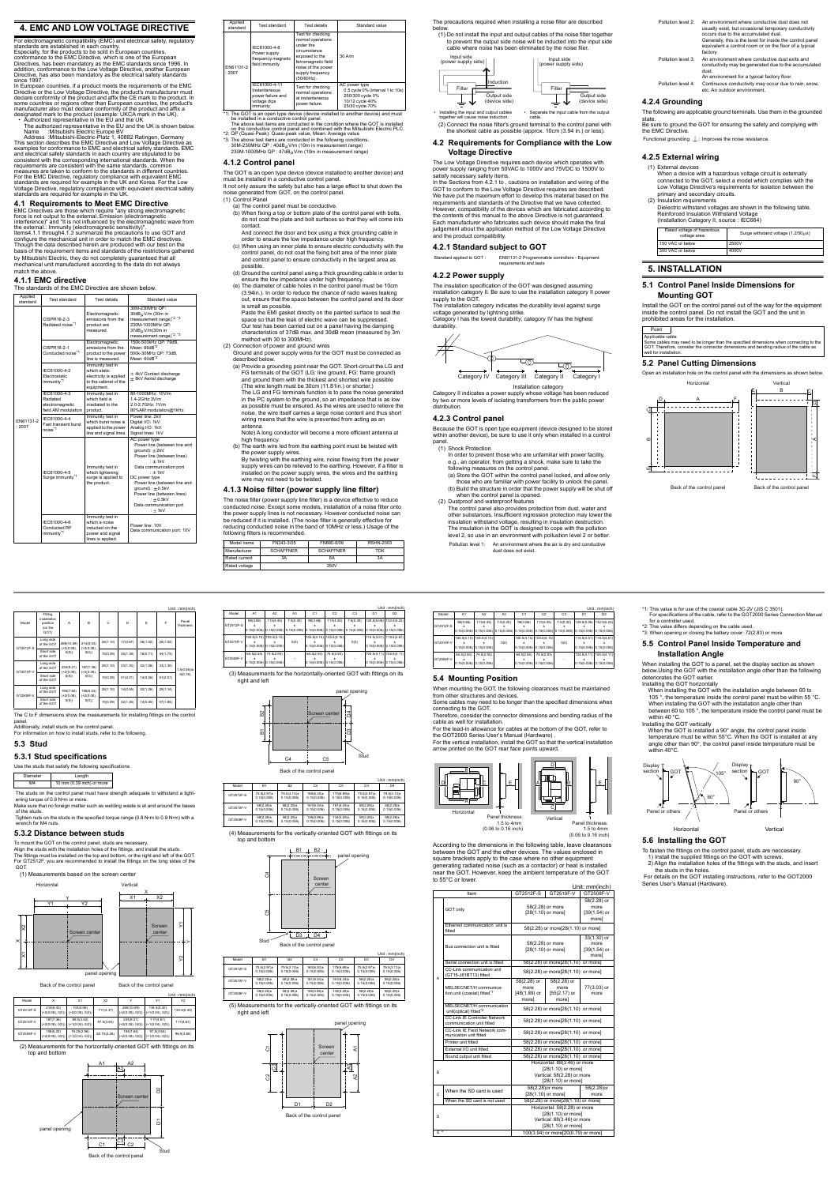#### **4. EMC AND LOW VOLTAGE DIRECTIVE**

For electromagnetic compatibility (EMC) and <mark>e</mark><br>established in each country, standards are established in each country.<br>Especially, for the products to be sold in European countries,<br>conformance to the EMC Directive, which is one of the European<br>Directives, has been mandatory as the EMC standards s addition, conformance to the Low Voltage Directive, another European Directive, has also been mandatory as the electrical safety standards since 1997

In European countries, if a product meets the requirements of the EMC<br>Directive or the Low Voltage Directive, the product's manufacturer must<br>declare conformity of the product and affix the CE mark to the product. In<br>some

The authorized representative in the EU and the UK is shown below.<br>
Name : Mitsubishi Electric Europe BV<br>
Address :Mitsubishi-Electric-Platz 1, 40882 Ratingen, Germany<br>
This section describes the EMC Directive and Low Volt For the EMC Directive, regulatory compliance with equivalent EMC<br>standards are required for example in the UK and Korea. For the Low<br>Voltage Directive, regulatory compliance with equivalent electrical safety<br>standards are

#### **4.1 Requirements to Meet EMC Directive**

EMC Directives are those which require "any strong electromagnetic<br>force is not output to the external.:Emission (electromagnetic<br>interference)" and "It is not influenced by the electromagnetic wave from the external.: Immunity (electromagnetic sensitivity)".<br>Item[s4.1.1](#page-1-0) through[4.1.3](#page-1-1) summarize the precautions to use GOT and<br>configure the mechanical unit in order to match the EMC directives.<br>Though the data described herein basis of the requirement items and standards of the restrictions gathered by Mitsubishi Electric, they do not completely guaranteed that all mechanical unit manufactured according to the data do not always modulation com-

The GOT is an open type device (device installed to another device) and must be installed in a conductive control panel. It not only assure the safety but also has a large effect to shut down the

- (b) When fixing a top or bottom plate of the control panel with bolts, do not coat the plate and bolt surfaces so that they will come into contact.
- And connect the door and box using a thick grounding cable in order to ensure the low impedance under high frequency.
- (c) When using an inner plate to ensure electric conductivity with the control panel, do not coat the fixing bolt area of the inner plate and control panel to ensure conductivity in the largest area as
- possible. (d) Ground the control panel using a thick grounding cable in order to
- ensure the low impedance under high frequency. (e) The diameter of cable holes in the control panel must be 10cm (3.94in.). In order to reduce the chance of radio waves leaking out, ensure that the space between the control panel and its doo

### <span id="page-1-0"></span>**4.1.1 EMC directive**

The standards of the EMC Directive are shown below.

(a) Provide a grounding point near the GOT. Short-circuit the LG and<br>FG terminals of the GOT (LG: line ground, FG: frame ground)<br>and ground them with the thickest and shortest wire possible<br>(The wire length must be 30cm (1 The LG and FG terminals function is to pass the noise generated

| Applied<br>standard | Test standard                                                      | Test details                                                                                      | Standard value                                                                                                                                                                                                                                                                                                  |
|---------------------|--------------------------------------------------------------------|---------------------------------------------------------------------------------------------------|-----------------------------------------------------------------------------------------------------------------------------------------------------------------------------------------------------------------------------------------------------------------------------------------------------------------|
|                     | CISPR16-2-3<br>Radiated noise <sup>*1</sup>                        | Electromagnetic<br>emissions from the<br>product are<br>measured.                                 | 30M-230MHz OP:<br>30dB <sub>tt</sub> V/m (30m in<br>measurement range) <sup>*2,*3</sup><br>230M-1000MHz OP:<br>37dB <sub>tt</sub> V/m(30m in<br>measurement range) <sup>*2,*3</sup>                                                                                                                             |
|                     | CISPR16-2-1<br>Conducted noise <sup>*1</sup>                       | Electromagnetic<br>emissions from the<br>product to the power<br>line is measured.                | 150k-500kHz QP: 79dB.<br>Mean: 66dB <sup>*2</sup><br>500k-30MHz QP: 73dB.<br>Mean: 60dB <sup>*2</sup>                                                                                                                                                                                                           |
|                     | IFC61000-4-2<br>Electrostatic<br>immunity <sup>*1</sup>            | Immunity test in<br>which static<br>electricity is applied<br>to the cabinet of the<br>equipment. | $\pm$ 4kV Contact discharge<br>$\pm$ 8kV Aerial discharge                                                                                                                                                                                                                                                       |
|                     | IFC61000-4-3<br>Radiated<br>electromagnetic<br>field AM modulation | Immunity test in<br>which field is<br>irradiated to the<br>product.                               | 80-1000MHz: 10V/m<br>1.4-2GHz:3V/m<br>2.0-2.7GHz: 1V/m<br>80%AM modulation@1kHz                                                                                                                                                                                                                                 |
| FN61131-2<br>.2007  | IFC61000-4-4<br><b>Fast transient burst</b><br>noise <sup>*1</sup> | Immunity test in<br>which burst noise is<br>applied to the power<br>line and signal lines.        | Power line: 2kV<br>Digital I/O: 1kV<br>Analog I/O: 1kV<br>Signal lines: 1kV                                                                                                                                                                                                                                     |
|                     | IFC61000-4-5<br>Surge immunity <sup>*1</sup>                       | Immunity test in<br>which lightening<br>surge is applied to<br>the product.                       | AC power type<br>Power line (between line and<br>ground): ±2kV<br>Power line (between lines)<br>$: +1kV$<br>Data communication port<br>$: +1kV$<br>DC power type<br>Power line (between line and<br>$ground$ : $\pm$ 0.5kV<br>Power line (between lines)<br>$\pm 0.5$ kV<br>Data communication port<br>$: +1kV$ |
|                     | IFC61000-4-6<br>Conducted RF<br>immunity*1                         | Immunity test in<br>which a noise<br>inducted on the<br>power and signal<br>lines is applied.     | Power line: 10V<br>Data communication port: 10V                                                                                                                                                                                                                                                                 |

# **4.1.2 Control panel**

power supply ranging from 50VAC to 1000V and 75VDC to 1500V to<br>satisfy necessary safety items.<br>In the Sections from [4.2.1](#page-1-2) to , cautions on installation and wiring of the<br>GOT to conform to the Low Voltage Directive requires requirements and standards of the Directive that we have collected. However, compatibility of the devices which are fabricated according to the contents of this manual to the above Directive is not guaranteed. Each manufacturer who fabricates such device should make the final judgement about the application method of the Low Voltage Directive and the product compatibility.

noise generated from GOT, on the control panel. (1) Control Panel

(a) The control panel must be conductive.

Installation category<br>Category II indicates a power supply whose voltage has been reduced<br>by two or more levels of isolating transformers from the public power distribution.

In order to prevent those who are unfamiliar with power facility, e.g., an operator, from getting a shock, make sure to take the following measures on the control panel. (a) Store the GOT within the control panel locked, and allow only

is small as possible. Paste the EMI gasket directly on the painted surface to seal the space so that the leak of electric wave can be suppressed. Our test has been carried out on a panel having the damping characteristics of 37dB max. and 30dB mean (measured by 3m

method with 30 to 300MHz). (2) Connection of power and ground wires

Ground and power supply wires for the GOT must be connected as described below.

in the PC system to the ground, so an impedance that is as low as possible must be ensured. As the wires are used to relieve the noise, the wire itself carries a large noise content and thus short wiring means that the wire is prevented from acting as an antenna. Note) A long conductor will become a more efficient antenna at

- high frequency.
- (b) The earth wire led from the earthing point must be twisted with the power supply wires. By twisting with the earthing wire, noise flowing from the power supply wires can be relieved to the earthing. However, if a filter is
- installed on the power supply wires, the wires and the earthing wire may not need to be twisted.

To mount the GOT on the control panel, studs are necessary. Align the studs with the installation holes of the fittings, and install the studs.<br>The fittings must be installed on the top and bottom, or the right and left of the GOT.<br>For GT2512F, you are recommended to install the fi GO<sub>T</sub>

#### <span id="page-1-1"></span>**4.1.3 Noise filter (power supply line filter)**

Model Fitting installation position (on the GOT) A BCDEF Panel thickness GT2512F-S Long side  $9(10.59)$ (+2(0.08), 0(0)) 214(8.43) (+2(0.08), 0(0)) 36(1.42) 1.5(0.06)to 4(0.16) Short side  $0(0.39)$   $35(1.38)$   $18(0.71)$   $44(1.73)$ GT2510F-V .ong si  $34(9.2)$ (+2(0.08), 0(0)) 187(7.36) (+2(0.08), 0(0))  $B(1.10)$  33(1.30) 32(1.26) 33(1.30 Short side of the GOT  $(0,0)$   $(0,0)$   $(0,0)$   $(0,0)$   $(0,0.39)$   $(51(2.01)$   $(14(0.55)$   $51(2.01)$ GT2508F-V ong si 94(7.64) (+2(0.08), 0(0)) 158(6.22) (+2(0.08), 0(0))  $14(0.55)$  32(1.26) 29(1.14) Short side of the GOT  $(0,0)$   $(0,0)$   $(0,0)$   $(0,0.39)$  32(1.26) 14(0.55) 47(1.85)

The noise filter (power supply line filter) is a device effective to reduce conducted noise. Except some models, installation of a noise filter onto the power supply lines is not necessary. However conducted noise can be reduced if it is installed. (The noise filter is generally effective for reducing conducted noise in the band of 10MHz or less.) Usage of the following filters is recommended.

| Applied<br>standard                                                             | Test standard                                                                   | Test details                                                                                                                                                         | Standard value                                                                                              |  |  |
|---------------------------------------------------------------------------------|---------------------------------------------------------------------------------|----------------------------------------------------------------------------------------------------------------------------------------------------------------------|-------------------------------------------------------------------------------------------------------------|--|--|
| FN61131-2<br>:2007                                                              | IEC61000-4-8<br>Power supply<br>frequency magnetic<br>field immunity            | Test for checking<br>normal operations<br>under the<br>circumstance<br>exposed to the<br>ferromagnetic field<br>noise of the power<br>supply frequency<br>(50/60Hz). | $30$ A/m                                                                                                    |  |  |
|                                                                                 | IEC61000-4-11<br>Instantaneous<br>power failure and<br>voltage dips<br>immunity | Test for checking<br>normal operations<br>at instantaneous<br>power failure.                                                                                         | AC power type<br>0.5 cycle 0% (interval 1 to 10s)<br>250/300 cycle 0%<br>10/12 cycle 40%<br>25/30 cycle 70% |  |  |
| 1: The GOT is an open type device (device installed to another device) and must |                                                                                 |                                                                                                                                                                      |                                                                                                             |  |  |

<sup>4</sup>1: The GOT is an open type device (device installed to another device) and must<br>le installed in a conductive control panel.<br>The above test items are conducted in the condition where the GOT is installed<br>on the conducti

(4) Measurements for the vertically-oriented GOT with fittings on its top and bottom B1 LB2

| Model name    | FN343-3/05       | FN660-6/06       | RSHN-2003 |
|---------------|------------------|------------------|-----------|
| Manufacturer  | <b>SCHAFFNER</b> | <b>SCHAFFNER</b> | TDK       |
| Rated current | 3A               | 6A               | 3A        |
| Rated voltage |                  | 250V             |           |

The precautions required when installing a noise filter are described

ents for the vertically-oriented GOT with fittings on its right and left

below. (1) Do not install the input and output cables of the noise filter together to prevent the output side noise will be inducted into the input side cable where noise has been eliminated by the noise filer.

Filter

↓

#### **4.2 Requirements for Compliance with the Low Voltage Directive**

The Low Voltage Directive requires each device which operates with

#### <span id="page-1-2"></span>**4.2.1 Standard subject to GOT**

**4.2.2 Power supply**

The insulation specification of the GOT was designed assuming installation category II. Be sure to use the installation category II power supply to the GOT.

The installation category indicates the durability level against surge voltage generated by lightning strike. Category I has the lowest durability; category IV has the highest

durability

(2) Connect the noise filter's ground terminal to the control panel with the shortest cable as possible (approx. 10cm (3.94 in.) or less). • Installing the input and output cables together will cause noise induction. • Separate the input cable from the output cable.

#### **4.2.3 Control panel**

Because the GOT is open type equipment (device designed to be stored within another device), be sure to use it only when installed in a control panel.

(1) Shock Protection

those who are familiar with power facility to unlock the panel. (b) Build the structure in order that the power supply will be shut off when the control panel is opened. (2) Dustproof and waterproof features

The control panel also provides protection from dust, water and other substances. Insufficient ingression protection may lower the<br>insulation withstand voltage, resulting in insulation destruction.<br>The insulation in the GOT is designed to cope with the pollution<br>level 2, so use in an e Pollution level 1: An environment where the air is dry and conductive

Model | A1 | A2 | A3 | C1 | C2 | C3 | D1 | D2

Standard applied to GOT : EN61131-2 Programmable controllers - Equipment requirements and tests

dust does not exist.



**Display** section

Pan

GOT

Back of the control panel Back of the control panel

Output side (device side)

Input side (power supply side)



#### **4.2.4 Grounding**

The following are applicable ground terminals. Use them in the grounded

state. Be sure to ground the GOT for ensuring the safety and complying with the EMC Directive.

Functional grounding  $\mathrel{\bot}$ : Improves the noise resistance.

#### **4.2.5 External wiring**

(1) External devices When a device with a hazardous voltage circuit is externally connected to the GOT, select a model which complies with the Low Voltage Directive's requirements for isolation between the primary and secondary circuits. (2) Insulation requirements

Dielectric withstand voltages are shown in the following table. Reinforced Insulation Withstand Voltage (Installation Category II, source : IEC664)

#### **5. INSTALLATION**

## **5.1 Control Panel Inside Dimensions for Mounting GOT**

Install the GOT on the control panel out of the way for the equipment inside the control panel. Do not install the GOT and the unit in prohibited areas for the installation.

#### **5.2 Panel Cutting Dimensions**

Open an installation hole on the control panel with the dimensions as shown b

Pollution level 2: An environment where conductive dust does not usually exist, but occasional temporary conductivity occurs due to the accumulated dust. Generally, this is the level for inside the control panel equivalent a control room or on the floor of a typical factory. Pollution level 3: An environment where conductive dust exits and conductivity may be generated due to the accumulated dust. An environment for a typical factory floor. Pollution level 4: Continuous conductivity may occur due to rain, snow, etc. An outdoor environment.

| Rated voltage of hazardous<br>voltage area | Surge withstand voltage $(1.2/50U s)$ |
|--------------------------------------------|---------------------------------------|
| 150 VAC or below                           | 2500V                                 |
| 300 VAC or below                           | 4000V                                 |
|                                            |                                       |





\*1: This value is for use of the coaxial cable 3C-2V (JIS C 3501).<br>For specifications of the cable, refer to the GOT2000 Series Connection Manual<br>for a controller used.<br>\*2: This value differs depending on the cable used.<br>\*

Unit : mm(inch)

The C to F dimensions show the measurements for installing fittings on the control panel. Additionally, install studs on the control panel.

For information on how to install studs, refer to the following.

#### **5.3 Stud**

**5.3.1 Stud specifications**

Use the studs that satisfy the following specifications

Diameter | Length

M4 10 mm (0.39 inch) or more

 The studs on the control panel must have strength adequate to withstand a tight-ening torque of 0.9 N•m or more. Make sure that no foreign matter such as welding waste is at and around the bases of the studs.

tuds.<br>nuts on the studs in the specified torque range (0.8 N•m to 0.9 N•m) with a ware made of

#### **5.3.2 Distance between studs**

(2) Measurements for the horizontally-oriented GOT with fittings on its top and bottom

|           |                                 |                                   |                |                                  |                                        | Unit: $mm(inch)$ |
|-----------|---------------------------------|-----------------------------------|----------------|----------------------------------|----------------------------------------|------------------|
| Model     |                                 | X1                                | X <sub>2</sub> |                                  | Υ1                                     | Y2               |
| GT2512F-S | 214(8.43)<br>$(+2(0.08), 0(0))$ | 103(4.06)<br>$(+2(0.08), 0(0))$   | 111(4.37)      | 269(10.59)<br>$(+2(0.08), 0(0))$ | 134.5(5.30)<br>$(+1(0.04), 0(0))$<br>Ш | 134.5(5.30)      |
| GT2510F-V | 187(7.36)<br>$(+2(0.08), 0(0))$ | 89.5(3.52)<br>$(+1(0.04), 0(0))$  | 97.5(3.84)     | 234(9.21)<br>$(+2(0.08), 0(0))$  | 117(4.61)<br>$(+1(0.04), 0(0))$        | 117(4.61)        |
| GT2508F-V | 158(6.22)<br>$(+2(0.08), 0(0))$ | 75.25(2.96)<br>$(+1(0.04), 0(0))$ | 82.75(3.26)    | 194(7.64)<br>$(+2(0.08), 0(0))$  | 97.5(3.84)<br>$(+1(0.04), 0(0))$       | 96.5(3.80)       |



Back of the control panel





Unit : mm(inch)

(3) Measurements for the horizontally-oriented GOT with fittings on its right and left

| Model     | A <sub>1</sub> | A <sub>2</sub>                                                                                                               | A <sub>3</sub> | C <sub>1</sub>              | C <sub>2</sub>                            | C <sub>3</sub> | D <sub>1</sub>                                         | D <sub>2</sub> |
|-----------|----------------|------------------------------------------------------------------------------------------------------------------------------|----------------|-----------------------------|-------------------------------------------|----------------|--------------------------------------------------------|----------------|
| GT2512F-S | 98(3.86)       | 113(4.45)<br>$0.15(0.006)$ $0.15(0.006)$ $0.15(0.006)$ $0.15(0.006)$ $0.15(0.006)$ $0.15(0.006)$ $0.15(0.006)$ $0.15(0.006)$ | 7.5(0.30)      | 98(3.86)                    | 113(4.45)                                 | 7.5(0.30)      | 128.5(5.06) 132.5(5.22)                                |                |
| GT2510F-V |                | 105.5(4.15) 105.5(4.15)<br>$0.15(0.006)$ $0.15(0.006)$                                                                       | 0(0)           | $0.15(0.006)$ $0.15(0.006)$ | 105.5(4.15) 105.5(4.15)                   | 0(0)           | 114.5(4.51) 118.5(4.67)<br>$0.15(0.006)$ $0.15(0.006)$ |                |
| GT2508F-V | 64.5(2.54)     | 74.5(2.93)<br>$0.15(0.006)$ $0.15(0.006)$                                                                                    | ۰              | 64.5(2.54)                  | 74.5(2.93)<br>$0.15(0.006)$ $0.15(0.006)$ |                | 104.5(4.11) 104.5(4.11)<br>$0.15(0.006)$ $0.15(0.006)$ |                |

Unit : mm(inch) Model B1 B2 C4 C5 D3 D4 GT2512F-S 0.15(0.006)  $79.5(3.13)$ ± 0.15(0.006) 160(6.30)± 0.15(0.006) 175(6.89)± 0.15(0.006)  $75.5(2.97)$ ± 0.15(0.006) 79.5(3.13)± 0.15(0.006)  $GT2510F-\sqrt{25}$ 0.15(0.006) 58(2.28)± 0.15(0.006) 161(6.34)± 0.15(0.006) 161(6.34)± 0.15(0.006) 58(2.28)± 0.15(0.006) 58(2.28)± 0.15(0.006) GT2508F-V 0.15(0.006) 58(2.28)± 0.15(0.006) 126(4.96)± 0.15(0.006)  $134(5.28) \pm$ 0.15(0.006) 58(2.28)± 0.15(0.006) 58(2.28)± 0.15(0.006)

|           |                |                |                |                 |                | Unit: mm(inch) |
|-----------|----------------|----------------|----------------|-----------------|----------------|----------------|
| Model     | <b>B1</b>      | <b>B2</b>      | C <sub>4</sub> | C <sub>5</sub>  | D <sub>3</sub> | D <sub>4</sub> |
| GT2512F-S | 75.5(2.97)±    | 79.5(3.13)±    | 160(6.30)±     | 175(6.89)±      | 75.5(2.97)±    | 79.5(3.13)±    |
|           | 0.15(0.006)    | 0.15(0.006)    | 0.15(0.006)    | 0.15(0.006)     | 0.15(0.006)    | 0.15(0.006)    |
| GT2510F-V | $58(2.28) \pm$ | $58(2.28) \pm$ | 161(6.34)±     | $161(6.34) \pm$ | $58(2.28) \pm$ | $58(2.28) \pm$ |
|           | 0.15(0.006)    | 0.15(0.006)    | 0.15(0.006)    | 0.15(0.006)     | 0.15(0.006)    | 0.15(0.006)    |
| GT2508F-V | $58(2.28) \pm$ | $58(2.28) \pm$ | 126(4.96)±     | $134(5.28) \pm$ | 58(2.28)±      | $58(2.28) \pm$ |
|           | 0.15(0.006)    | 0.15(0.006)    | 0.15(0.006)    | 0.15(0.006)     | 0.15(0.006)    | 0.15(0.006)    |

B1 B2





panel opening



Screen center



Unit : mm(inch)

For the lead-in allowance for cables at the bottom of the GOT, refer to the GOT2000 Series User's Manual (Hardware) . For the vertical installation, install the GOT so that the vertical installation

arrow printed on the GOT rear face points upward.

According to the dimensions in the following table, leave clearances between the GOT and the other devices. The values enclosed in square brackets apply to the case where no other equipment generating radiated noise (such as a contactor) or heat is installed near the GOT. However, keep the ambient temperature of the GOT



to 55°C or lower.

Unit: mm(inch)

GT2512F-S

98(3.86) ± 0.15(0.006)

113(4.45) ± 0.15(0.006)

7.5(0.30) ± 0.15(0.006)

98(3.86) ± 0.15(0.006)

113(4.45) ± 0.15(0.006)

7.5(0.30) ± 0.15(0.006) 128.5(5.06) ± 0.15(0.006) 132.5(5.22) ± 0.15(0.006)

GT2510F-V

105.5(4.15) ± 0.15(0.006) 105.5(4.15) ± 0.15(0.006)

0(0)

105.5(4.15) ± 0.15(0.006) 105.5(4.15) ± 0.15(0.006)

0(0)

114.5(4.51) ± 0.15(0.006) 118.5(4.67) ± 0.15(0.006)

GT2508F-V

64.5(2.54) ±

74.5(2.93) ±

64.5(2.54) ±

74.5(2.93) ±

-

104.5(4.11) ±

104.5(4.11) ± 0.15(0.006)

|       | Item                                                    | GT2512F-S                           | GT2510F-V                          | GT2508F-V      |  |  |
|-------|---------------------------------------------------------|-------------------------------------|------------------------------------|----------------|--|--|
|       |                                                         | 58(2.28) or                         |                                    |                |  |  |
|       | GOT only                                                |                                     | 58(2.28) or more                   | more           |  |  |
|       |                                                         |                                     | $[28(1.10)$ or more]               | $[39(1.54)$ or |  |  |
|       |                                                         |                                     |                                    | morel          |  |  |
|       | Ethernet communication unit is                          | 58(2.28) or more[28(1.10) or more]  |                                    |                |  |  |
|       | fitted                                                  |                                     |                                    |                |  |  |
|       |                                                         |                                     |                                    | $33(1.30)$ or  |  |  |
|       | Bus connection unit is fitted                           |                                     | 58(2.28) or more                   | more           |  |  |
|       |                                                         |                                     | $[28(1.10)$ or more]               | $[39(1.54)$ or |  |  |
|       |                                                         |                                     |                                    | morel          |  |  |
|       | Serial connection unit is fitted                        |                                     | 58(2.28) or more[28(1.10)          | or more]       |  |  |
|       | CC-I ink communication unit<br>(GT15-J61BT13) fitted    |                                     | 58(2.28) or more[28(1.10) or more] |                |  |  |
| A     |                                                         | 58(2.28) or                         | 58(2.28) or                        |                |  |  |
|       | MELSECNET/H communica-                                  | more                                | more                               | 77(3.03) or    |  |  |
|       | tion unit (coaxial) fitted <sup>*1</sup>                | [48(1.89) or                        | $[55(2.17)$ or                     | more           |  |  |
|       |                                                         | morel                               | morel                              |                |  |  |
|       | MELSECNET/H communication                               |                                     | 58(2.28) or more[28(1.10) or more] |                |  |  |
|       | unit(optical) fitted <sup>*2</sup>                      |                                     |                                    |                |  |  |
|       | CC-Link IF Controller Network                           | 58(2.28) or more[28(1.10) or more]  |                                    |                |  |  |
|       | communication unit fitted                               |                                     |                                    |                |  |  |
|       | CC-Link IE Field Network com-<br>munication unit fitted | 58(2.28) or more[28(1.10) or more]  |                                    |                |  |  |
|       | Printer unit fitted                                     | 58(2.28) or more[28(1.10) or more]  |                                    |                |  |  |
|       | External I/O unit fitted                                | 58(2.28) or more[28(1.10) or more]  |                                    |                |  |  |
|       | Sound output unit fitted                                |                                     | 58(2.28) or more[28(1.10) or more] |                |  |  |
|       |                                                         |                                     | Horizontal: 88(3.46) or more       |                |  |  |
| B     |                                                         |                                     | [28(1.10) or more]                 |                |  |  |
|       |                                                         | Vertical: 58(2.28) or more          |                                    |                |  |  |
|       |                                                         |                                     | [28(1.10) or more]                 |                |  |  |
|       | When the SD card is used                                |                                     | 58(2.28)or more                    | 58(2.28)or     |  |  |
| Ċ     |                                                         |                                     | [28(1.10) or more]                 | more           |  |  |
|       | When the SD card is not used                            | 58(2.28) or more[28(1.10) or more]  |                                    |                |  |  |
|       |                                                         |                                     | Horizontal: 58(2.28) or more       |                |  |  |
| D     |                                                         | [28(1.10) or more]                  |                                    |                |  |  |
|       |                                                         | Vertical: 88(3.46) or more          |                                    |                |  |  |
|       |                                                         | [28(1.10) or more]                  |                                    |                |  |  |
| $F^3$ |                                                         | 100(3.94) or more[20(0.79) or more] |                                    |                |  |  |



1.5 to 4mm (0.06 to 0.16 inch)

**5.5 Control Panel Inside Temperature and** 

**Installation Angle**

Installing the GOT horizontally

When installing the GOT to a panel, set the display section as shown below.Using the GOT with the installation angle other than the following deteriorates the GOT earlier.

When installing the GOT with the installation angle between 60 to 105 °, the temperature inside the control panel must be within 55 °C. When installing the GOT with the installation angle other than between 60 to 105 °, the temperature inside the control panel must be

within 40 °C. Installing the GOT vertically

When the GOT is installed a 90° angle, the control panel inside temperature must be within 55°C. When the GOT is installed at any angle other than 90°, the control panel inside temperature must be

> **Display** section <sub>GOT</sub>

 $P<sub>i</sub>$ 

within 40°C.

**5.6 Installing the GOT**

To fasten the fittings on the control panel, studs are neccessary. 1) Install the supplied fittings on the GOT with screws. 2) Align the installation holes of the fittings with the studs, and insert

the studs in the holes.

For details on the GOT installing instructions, refer to the GOT2000

Vertica

Series User's Manual (Hardware).

105°

60°

90°